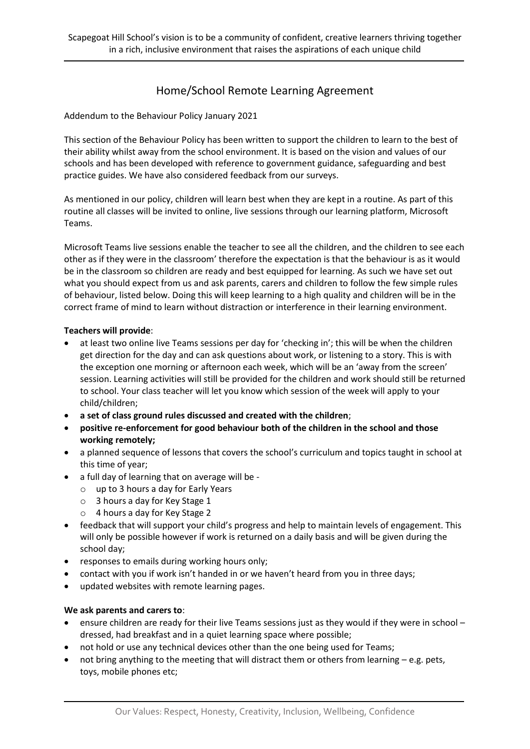# Home/School Remote Learning Agreement

Addendum to the Behaviour Policy January 2021

This section of the Behaviour Policy has been written to support the children to learn to the best of their ability whilst away from the school environment. It is based on the vision and values of our schools and has been developed with reference to government guidance, safeguarding and best practice guides. We have also considered feedback from our surveys.

As mentioned in our policy, children will learn best when they are kept in a routine. As part of this routine all classes will be invited to online, live sessions through our learning platform, Microsoft Teams.

Microsoft Teams live sessions enable the teacher to see all the children, and the children to see each other as if they were in the classroom' therefore the expectation is that the behaviour is as it would be in the classroom so children are ready and best equipped for learning. As such we have set out what you should expect from us and ask parents, carers and children to follow the few simple rules of behaviour, listed below. Doing this will keep learning to a high quality and children will be in the correct frame of mind to learn without distraction or interference in their learning environment.

## **Teachers will provide**:

- at least two online live Teams sessions per day for 'checking in'; this will be when the children get direction for the day and can ask questions about work, or listening to a story. This is with the exception one morning or afternoon each week, which will be an 'away from the screen' session. Learning activities will still be provided for the children and work should still be returned to school. Your class teacher will let you know which session of the week will apply to your child/children;
- **a set of class ground rules discussed and created with the children**;
- **positive re-enforcement for good behaviour both of the children in the school and those working remotely;**
- a planned sequence of lessons that covers the school's curriculum and topics taught in school at this time of year;
- a full day of learning that on average will be
	- o up to 3 hours a day for Early Years
	- o 3 hours a day for Key Stage 1
	- o 4 hours a day for Key Stage 2
- feedback that will support your child's progress and help to maintain levels of engagement. This will only be possible however if work is returned on a daily basis and will be given during the school day;
- responses to emails during working hours only;
- contact with you if work isn't handed in or we haven't heard from you in three days;
- updated websites with remote learning pages.

## **We ask parents and carers to**:

- ensure children are ready for their live Teams sessions just as they would if they were in school dressed, had breakfast and in a quiet learning space where possible;
- not hold or use any technical devices other than the one being used for Teams;
- not bring anything to the meeting that will distract them or others from learning e.g. pets, toys, mobile phones etc;